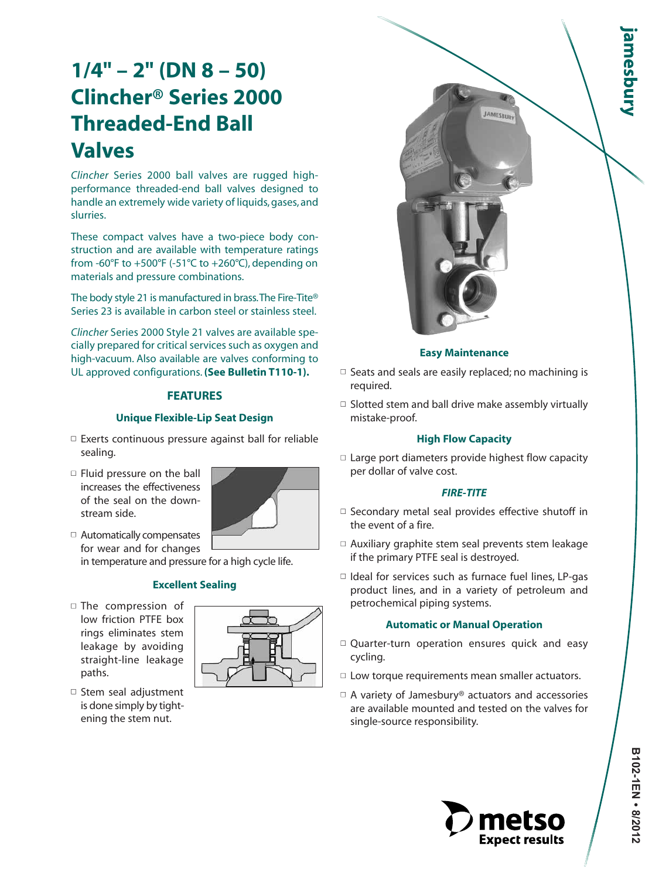# **1/4" – 2" (DN 8 – 50) Clincher® Series 2000 Threaded-End Ball Valves**

*Clincher* Series 2000 ball valves are rugged highperformance threaded-end ball valves designed to handle an extremely wide variety of liquids, gases, and slurries.

These compact valves have a two-piece body construction and are available with temperature ratings from -60°F to +500°F (-51°C to +260°C), depending on materials and pressure combinations.

The body style 21 is manufactured in brass.The Fire-Tite® Series 23 is available in carbon steel or stainless steel.

*Clincher* Series 2000 Style 21 valves are available specially prepared for critical services such as oxygen and high-vacuum. Also available are valves conforming to UL approved configurations. **(See Bulletin T110-1).**

# **FEATURES**

## **Unique Flexible-Lip Seat Design**

- $\square$  Exerts continuous pressure against ball for reliable sealing.
- □ Fluid pressure on the ball increases the effectiveness of the seal on the downstream side.



□ Automatically compensates for wear and for changes in temperature and pressure for a high cycle life.

# **Excellent Sealing**

■ The compression of low friction PTFE box rings eliminates stem leakage by avoiding straight-line leakage paths.







- $\Box$  Seats and seals are easily replaced; no machining is required.
- $\Box$  Slotted stem and ball drive make assembly virtually mistake-proof.

# **High Flow Capacity**

 $\square$  Large port diameters provide highest flow capacity per dollar of valve cost.

# *FIRE-TITE*

- $\square$  Secondary metal seal provides effective shutoff in the event of a fire.
- $\Box$  Auxiliary graphite stem seal prevents stem leakage if the primary PTFE seal is destroyed.
- $\Box$  Ideal for services such as furnace fuel lines, LP-gas product lines, and in a variety of petroleum and petrochemical piping systems.

## **Automatic or Manual Operation**

- $\Box$  Quarter-turn operation ensures quick and easy cycling.
- $\Box$  Low torque requirements mean smaller actuators.
- $\Box$  A variety of Jamesbury® actuators and accessories are available mounted and tested on the valves for single-source responsibility.



**amesbury**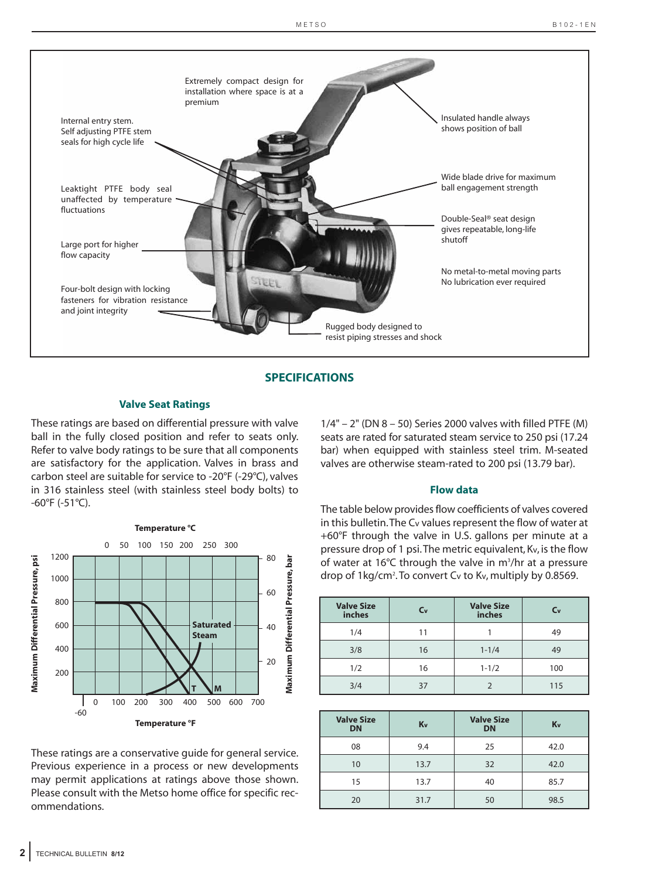

#### **SPECIFICATIONS**

#### **Valve Seat Ratings**

These ratings are based on differential pressure with valve ball in the fully closed position and refer to seats only. Refer to valve body ratings to be sure that all components are satisfactory for the application. Valves in brass and carbon steel are suitable for service to -20°F (-29°C), valves in 316 stainless steel (with stainless steel body bolts) to -60°F (-51°C).



These ratings are a conservative guide for general service. Previous experience in a process or new developments may permit applications at ratings above those shown. Please consult with the Metso home office for specific recommendations.

1/4" – 2" (DN 8 – 50) Series 2000 valves with filled PTFE (M) seats are rated for saturated steam service to 250 psi (17.24 bar) when equipped with stainless steel trim. M-seated valves are otherwise steam-rated to 200 psi (13.79 bar).

#### **Flow data**

The table below provides flow coefficients of valves covered in this bulletin.The Cv values represent the flow of water at +60°F through the valve in U.S. gallons per minute at a pressure drop of 1 psi.The metric equivalent, Kv, is the flow of water at 16°C through the valve in m<sup>3</sup>/hr at a pressure drop of 1 kg/cm<sup>2</sup>. To convert Cv to Kv, multiply by 0.8569.

| <b>Valve Size</b><br>inches | $C_{V}$ | <b>Valve Size</b><br>inches | $C_{V}$ |
|-----------------------------|---------|-----------------------------|---------|
| 1/4                         | 11      |                             | 49      |
| 3/8                         | 16      | $1 - 1/4$                   | 49      |
| 1/2                         | 16      | $1 - 1/2$                   | 100     |
| 3/4                         | 37      |                             | 115     |

| <b>Valve Size</b><br><b>DN</b> | Kv   | <b>Valve Size</b><br><b>DN</b> | Kv   |
|--------------------------------|------|--------------------------------|------|
| 08                             | 9.4  | 25                             | 42.0 |
| 10                             | 13.7 | 32                             | 42.0 |
| 15                             | 13.7 | 40                             | 85.7 |
| 20                             | 31.7 | 50                             | 98.5 |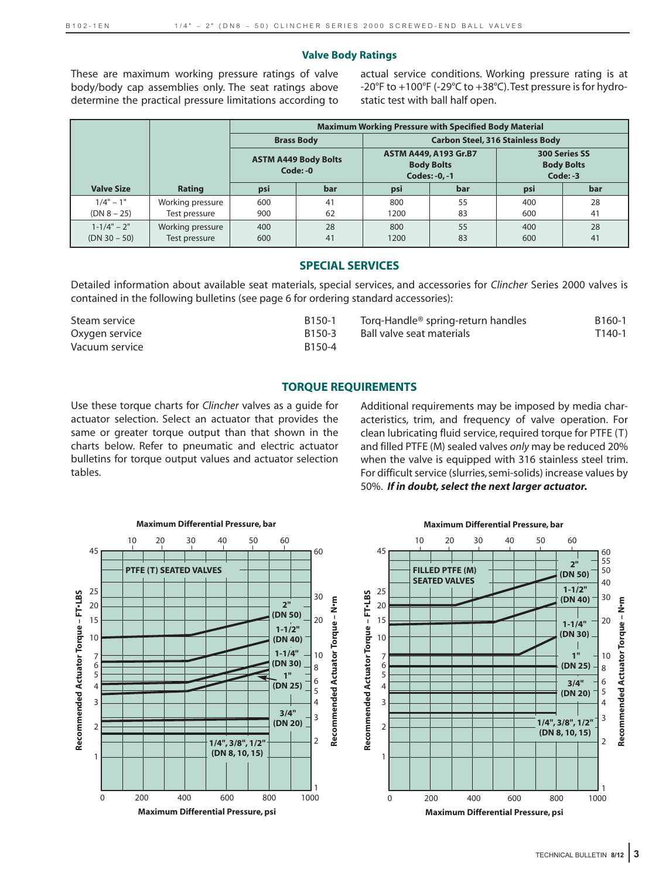#### **Valve Body Ratings**

These are maximum working pressure ratings of valve body/body cap assemblies only. The seat ratings above determine the practical pressure limitations according to actual service conditions. Working pressure rating is at -20°F to +100°F (-29°C to +38°C).Test pressure is for hydrostatic test with ball half open.

|                   |                  | <b>Maximum Working Pressure with Specified Body Material</b> |                   |                                                             |     |                                                         |     |
|-------------------|------------------|--------------------------------------------------------------|-------------------|-------------------------------------------------------------|-----|---------------------------------------------------------|-----|
|                   |                  |                                                              | <b>Brass Body</b> |                                                             |     | <b>Carbon Steel, 316 Stainless Body</b>                 |     |
|                   |                  | <b>ASTM A449 Body Bolts</b><br>Code: -0                      |                   | ASTM A449, A193 Gr.B7<br><b>Body Bolts</b><br>Codes: -0, -1 |     | <b>300 Series SS</b><br><b>Body Bolts</b><br>$Code: -3$ |     |
| <b>Valve Size</b> | Rating           | psi                                                          | bar               | psi                                                         | bar | psi                                                     | bar |
| $1/4" - 1"$       | Working pressure | 600                                                          | 41                | 800                                                         | 55  | 400                                                     | 28  |
| $(DN 8 - 25)$     | Test pressure    | 900                                                          | 62                | 1200                                                        | 83  | 600                                                     | 41  |
| $1 - 1/4" - 2"$   | Working pressure | 400                                                          | 28                | 800                                                         | 55  | 400                                                     | 28  |
| (DN 30 – 50)      | Test pressure    | 600                                                          | 41                | 1200                                                        | 83  | 600                                                     | 41  |

#### **SPECIAL SERVICES**

Detailed information about available seat materials, special services, and accessories for *Clincher* Series 2000 valves is contained in the following bulletins (see page 6 for ordering standard accessories):

| Steam service  | B150-1             | Torq-Handle <sup>®</sup> spring-return handles | B <sub>160</sub> -1 |
|----------------|--------------------|------------------------------------------------|---------------------|
| Oxygen service | B <sub>150-3</sub> | Ball valve seat materials                      | $T140-1$            |
| Vacuum service | B150-4             |                                                |                     |

## **TORQUE REQUIREMENTS**

Use these torque charts for *Clincher* valves as a guide for actuator selection. Select an actuator that provides the same or greater torque output than that shown in the charts below. Refer to pneumatic and electric actuator bulletins for torque output values and actuator selection tables.

Additional requirements may be imposed by media characteristics, trim, and frequency of valve operation. For clean lubricating fluid service, required torque for PTFE (T) and filled PTFE (M) sealed valves *only* may be reduced 20% when the valve is equipped with 316 stainless steel trim. For difficult service (slurries, semi-solids) increase values by 50%. *If in doubt, select the next larger actuator.*



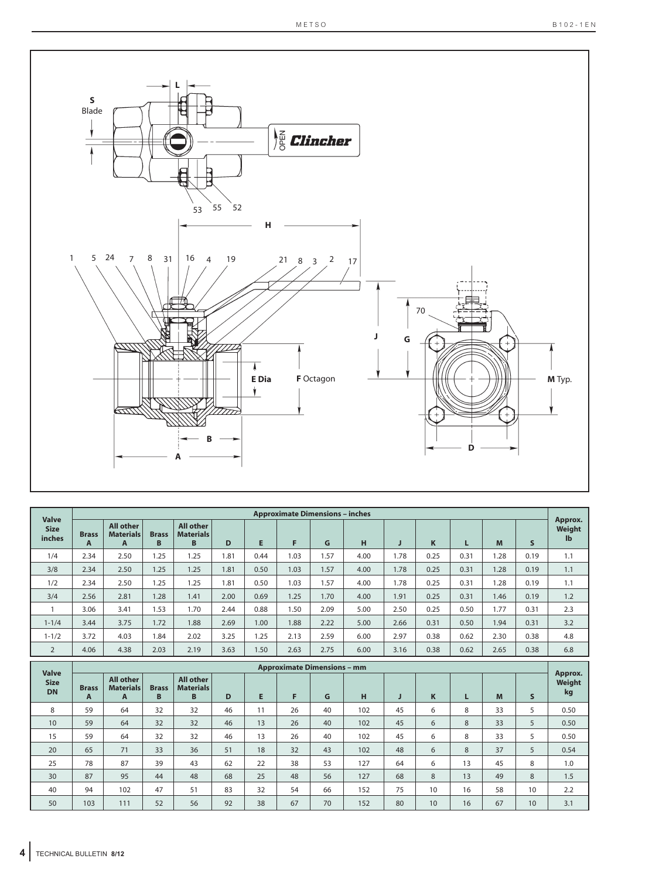

| <b>Valve</b>                             |                                    |                                           |                   |                                           |      |      | <b>Approximate Dimensions - inches</b> |      |      |      |      |      |      |              | Approx.                 |
|------------------------------------------|------------------------------------|-------------------------------------------|-------------------|-------------------------------------------|------|------|----------------------------------------|------|------|------|------|------|------|--------------|-------------------------|
| <b>Size</b><br>inches                    | <b>Brass</b><br>A                  | <b>All other</b><br><b>Materials</b><br>A | <b>Brass</b><br>B | <b>All other</b><br><b>Materials</b><br>B | D    | E.   | F                                      | G    | H    | J    | K    | L    | M    | $\mathsf{s}$ | Weight<br>$\mathbf{I}$  |
| 1/4                                      | 2.34                               | 2.50                                      | 1.25              | 1.25                                      | 1.81 | 0.44 | 1.03                                   | 1.57 | 4.00 | 1.78 | 0.25 | 0.31 | 1.28 | 0.19         | 1.1                     |
| 3/8                                      | 2.34                               | 2.50                                      | 1.25              | 1.25                                      | 1.81 | 0.50 | 1.03                                   | 1.57 | 4.00 | 1.78 | 0.25 | 0.31 | 1.28 | 0.19         | 1.1                     |
| 1/2                                      | 2.34                               | 2.50                                      | 1.25              | 1.25                                      | 1.81 | 0.50 | 1.03                                   | 1.57 | 4.00 | 1.78 | 0.25 | 0.31 | 1.28 | 0.19         | 1.1                     |
| 3/4                                      | 2.56                               | 2.81                                      | 1.28              | 1.41                                      | 2.00 | 0.69 | 1.25                                   | 1.70 | 4.00 | 1.91 | 0.25 | 0.31 | 1.46 | 0.19         | 1.2                     |
| 1                                        | 3.06                               | 3.41                                      | 1.53              | 1.70                                      | 2.44 | 0.88 | 1.50                                   | 2.09 | 5.00 | 2.50 | 0.25 | 0.50 | 1.77 | 0.31         | 2.3                     |
| $1 - 1/4$                                | 3.44                               | 3.75                                      | 1.72              | 1.88                                      | 2.69 | 1.00 | 1.88                                   | 2.22 | 5.00 | 2.66 | 0.31 | 0.50 | 1.94 | 0.31         | 3.2                     |
| $1 - 1/2$                                | 3.72                               | 4.03                                      | 1.84              | 2.02                                      | 3.25 | 1.25 | 2.13                                   | 2.59 | 6.00 | 2.97 | 0.38 | 0.62 | 2.30 | 0.38         | 4.8                     |
| $\overline{2}$                           | 4.06                               | 4.38                                      | 2.03              | 2.19                                      | 3.63 | 1.50 | 2.63                                   | 2.75 | 6.00 | 3.16 | 0.38 | 0.62 | 2.65 | 0.38         | 6.8                     |
|                                          | <b>Approximate Dimensions - mm</b> |                                           |                   |                                           |      |      |                                        |      |      |      |      |      |      |              |                         |
|                                          |                                    |                                           |                   |                                           |      |      |                                        |      |      |      |      |      |      |              |                         |
| <b>Valve</b><br><b>Size</b><br><b>DN</b> | <b>Brass</b><br>A                  | <b>All other</b><br><b>Materials</b><br>A | <b>Brass</b><br>B | <b>All other</b><br><b>Materials</b><br>B | D    | E    | F.                                     | G    | н    | J    | K    | L    | M    | S            | Approx.<br>Weight<br>kg |
| 8                                        | 59                                 | 64                                        | 32                | 32                                        | 46   | 11   | 26                                     | 40   | 102  | 45   | 6    | 8    | 33   | 5            | 0.50                    |
| 10                                       | 59                                 | 64                                        | 32                | 32                                        | 46   | 13   | 26                                     | 40   | 102  | 45   | 6    | 8    | 33   | 5            | 0.50                    |
| 15                                       | 59                                 | 64                                        | 32                | 32                                        | 46   | 13   | 26                                     | 40   | 102  | 45   | 6    | 8    | 33   | 5            | 0.50                    |
| 20                                       | 65                                 | 71                                        | 33                | 36                                        | 51   | 18   | 32                                     | 43   | 102  | 48   | 6    | 8    | 37   | 5            | 0.54                    |
| 25                                       | 78                                 | 87                                        | 39                | 43                                        | 62   | 22   | 38                                     | 53   | 127  | 64   | 6    | 13   | 45   | 8            | 1.0                     |
| 30                                       | 87                                 | 95                                        | 44                | 48                                        | 68   | 25   | 48                                     | 56   | 127  | 68   | 8    | 13   | 49   | 8            | 1.5                     |
| 40                                       | 94                                 | 102                                       | 47                | 51                                        | 83   | 32   | 54                                     | 66   | 152  | 75   | 10   | 16   | 58   | 10           | 2.2                     |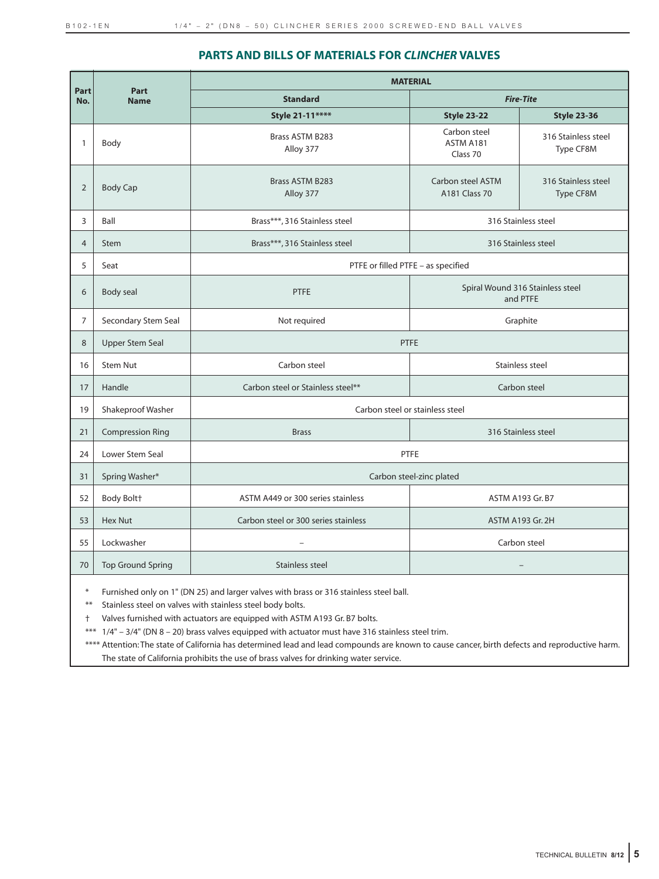## **PARTS AND BILLS OF MATERIALS FOR** *CLINCHER* **VALVES**

|                |                          |                                      | <b>MATERIAL</b>                              |                                  |  |  |
|----------------|--------------------------|--------------------------------------|----------------------------------------------|----------------------------------|--|--|
| Part<br>No.    | Part<br><b>Name</b>      | <b>Standard</b>                      |                                              | <b>Fire-Tite</b>                 |  |  |
|                |                          | Style 21-11****                      | <b>Style 23-22</b>                           | <b>Style 23-36</b>               |  |  |
| $\mathbf{1}$   | Body                     | <b>Brass ASTM B283</b><br>Alloy 377  | Carbon steel<br>ASTM A181<br>Class 70        | 316 Stainless steel<br>Type CF8M |  |  |
| $\overline{2}$ | <b>Body Cap</b>          | <b>Brass ASTM B283</b><br>Alloy 377  | Carbon steel ASTM<br>A181 Class 70           | 316 Stainless steel<br>Type CF8M |  |  |
| 3              | Ball                     | Brass***, 316 Stainless steel        |                                              | 316 Stainless steel              |  |  |
| $\overline{4}$ | <b>Stem</b>              | Brass***, 316 Stainless steel        |                                              | 316 Stainless steel              |  |  |
| 5              | Seat                     |                                      | PTFE or filled PTFE - as specified           |                                  |  |  |
| 6              | <b>Body seal</b>         | <b>PTFE</b>                          | Spiral Wound 316 Stainless steel<br>and PTFE |                                  |  |  |
| $\overline{7}$ | Secondary Stem Seal      | Not required                         | Graphite                                     |                                  |  |  |
| 8              | <b>Upper Stem Seal</b>   |                                      | <b>PTFE</b>                                  |                                  |  |  |
| 16             | <b>Stem Nut</b>          | Carbon steel                         |                                              | Stainless steel                  |  |  |
| 17             | Handle                   | Carbon steel or Stainless steel**    |                                              | Carbon steel                     |  |  |
| 19             | Shakeproof Washer        |                                      | Carbon steel or stainless steel              |                                  |  |  |
| 21             | <b>Compression Ring</b>  | <b>Brass</b>                         |                                              | 316 Stainless steel              |  |  |
| 24             | Lower Stem Seal          |                                      | PTFE                                         |                                  |  |  |
| 31             | Spring Washer*           |                                      | Carbon steel-zinc plated                     |                                  |  |  |
| 52             | Body Boltt               | ASTM A449 or 300 series stainless    |                                              | ASTM A193 Gr. B7                 |  |  |
| 53             | Hex Nut                  | Carbon steel or 300 series stainless |                                              | <b>ASTM A193 Gr. 2H</b>          |  |  |
| 55             | Lockwasher               | ÷,                                   |                                              | Carbon steel                     |  |  |
| 70             | <b>Top Ground Spring</b> | Stainless steel                      |                                              |                                  |  |  |
|                |                          |                                      |                                              |                                  |  |  |

Furnished only on 1" (DN 25) and larger valves with brass or 316 stainless steel ball.

\*\* Stainless steel on valves with stainless steel body bolts.

† Valves furnished with actuators are equipped with ASTM A193 Gr. B7 bolts.

\*\*\* 1/4" – 3/4" (DN 8 – 20) brass valves equipped with actuator must have 316 stainless steel trim.

\*\*\*\* Attention: The state of California has determined lead and lead compounds are known to cause cancer, birth defects and reproductive harm. The state of California prohibits the use of brass valves for drinking water service.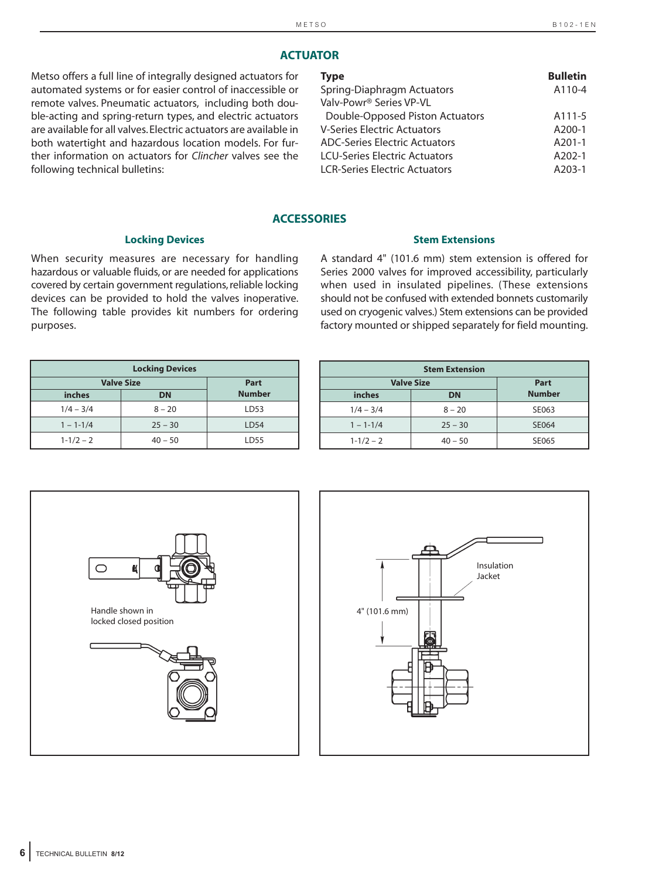## **ACTUATOR**

Metso offers a full line of integrally designed actuators for automated systems or for easier control of inaccessible or remote valves. Pneumatic actuators, including both double-acting and spring-return types, and electric actuators are available for all valves. Electric actuators are available in both watertight and hazardous location models. For further information on actuators for *Clincher* valves see the following technical bulletins:

| <b>Type</b>                          | <b>Bulletin</b> |
|--------------------------------------|-----------------|
| Spring-Diaphragm Actuators           | A110-4          |
| Valv-Powr <sup>®</sup> Series VP-VL  |                 |
| Double-Opposed Piston Actuators      | A111-5          |
| <b>V-Series Electric Actuators</b>   | A200-1          |
| ADC-Series Electric Actuators        | A201-1          |
| <b>LCU-Series Electric Actuators</b> | $A202-1$        |
| <b>LCR-Series Electric Actuators</b> | $A203-1$        |
|                                      |                 |

#### **ACCESSORIES**

#### **Locking Devices**

When security measures are necessary for handling hazardous or valuable fluids, or are needed for applications covered by certain government regulations, reliable locking devices can be provided to hold the valves inoperative. The following table provides kit numbers for ordering purposes.

A standard 4" (101.6 mm) stem extension is offered for Series 2000 valves for improved accessibility, particularly when used in insulated pipelines. (These extensions should not be confused with extended bonnets customarily used on cryogenic valves.) Stem extensions can be provided factory mounted or shipped separately for field mounting.

**Stem Extensions**

| <b>Locking Devices</b> |           |                  |  |  |  |
|------------------------|-----------|------------------|--|--|--|
| <b>Valve Size</b>      | Part      |                  |  |  |  |
| inches                 | <b>DN</b> | <b>Number</b>    |  |  |  |
| $1/4 - 3/4$            | $8 - 20$  | LD53             |  |  |  |
| $1 - 1 - 1/4$          | $25 - 30$ | LD <sub>54</sub> |  |  |  |
| $1 - 1/2 - 2$          | $40 - 50$ | LD55             |  |  |  |

| <b>Stem Extension</b> |           |               |  |  |  |  |
|-----------------------|-----------|---------------|--|--|--|--|
| <b>Valve Size</b>     | Part      |               |  |  |  |  |
| inches                | <b>DN</b> | <b>Number</b> |  |  |  |  |
| $1/4 - 3/4$           | $8 - 20$  | SE063         |  |  |  |  |
| $1 - 1 - 1/4$         | $25 - 30$ | SE064         |  |  |  |  |
| $1 - 1/2 - 2$         | $40 - 50$ | SE065         |  |  |  |  |



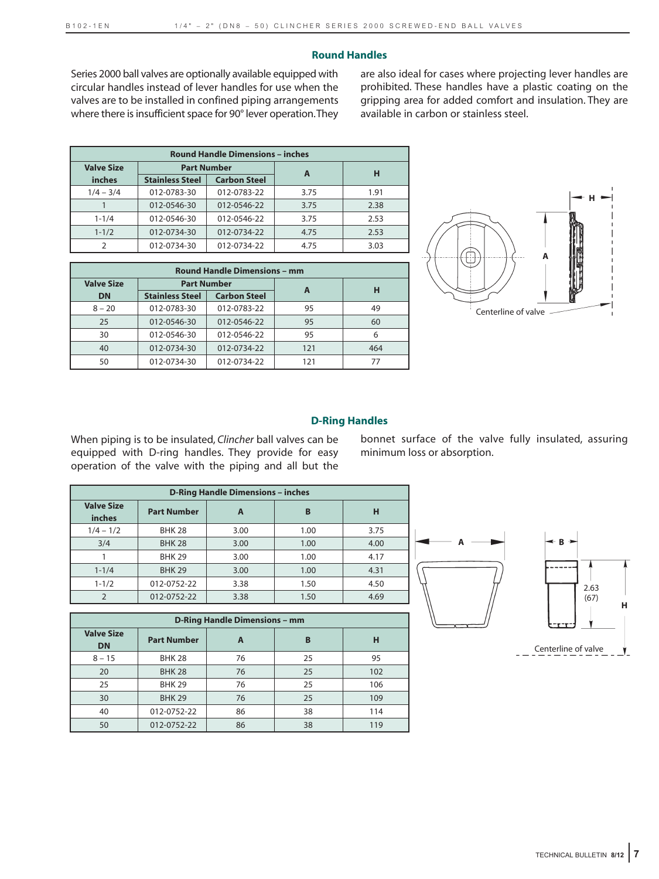## **Round Handles**

Series 2000 ball valves are optionally available equipped with circular handles instead of lever handles for use when the valves are to be installed in confined piping arrangements where there is insufficient space for 90° lever operation.They are also ideal for cases where projecting lever handles are prohibited. These handles have a plastic coating on the gripping area for added comfort and insulation. They are available in carbon or stainless steel.

| <b>Round Handle Dimensions - inches</b> |                        |                     |      |      |  |  |
|-----------------------------------------|------------------------|---------------------|------|------|--|--|
| <b>Valve Size</b>                       |                        | <b>Part Number</b>  |      | н    |  |  |
| inches                                  | <b>Stainless Steel</b> | <b>Carbon Steel</b> | A    |      |  |  |
| $1/4 - 3/4$                             | 012-0783-30            | 012-0783-22         | 3.75 | 1.91 |  |  |
|                                         | 012-0546-30            | 012-0546-22         | 3.75 | 2.38 |  |  |
| $1 - 1/4$                               | 012-0546-30            | 012-0546-22         | 3.75 | 2.53 |  |  |
| $1 - 1/2$                               | 012-0734-30            | 012-0734-22         | 4.75 | 2.53 |  |  |
| C                                       | 012-0734-30            | 012-0734-22         | 4.75 | 3.03 |  |  |

| <b>Round Handle Dimensions - mm</b> |                        |                     |     |     |  |  |
|-------------------------------------|------------------------|---------------------|-----|-----|--|--|
| <b>Valve Size</b>                   |                        | <b>Part Number</b>  | A   | н   |  |  |
| <b>DN</b>                           | <b>Stainless Steel</b> | <b>Carbon Steel</b> |     |     |  |  |
| $8 - 20$                            | 012-0783-30            | 012-0783-22         | 95  | 49  |  |  |
| 25                                  | 012-0546-30            | 012-0546-22         | 95  | 60  |  |  |
| 30                                  | 012-0546-30            | 012-0546-22         | 95  | 6   |  |  |
| 40                                  | 012-0734-30            | 012-0734-22         | 121 | 464 |  |  |
| 50                                  | 012-0734-30            | 012-0734-22         | 121 | 77  |  |  |



## **D-Ring Handles**

When piping is to be insulated, *Clincher* ball valves can be equipped with D-ring handles. They provide for easy operation of the valve with the piping and all but the bonnet surface of the valve fully insulated, assuring minimum loss or absorption.

| <b>D-Ring Handle Dimensions - inches</b> |                    |      |      |      |  |  |  |
|------------------------------------------|--------------------|------|------|------|--|--|--|
| <b>Valve Size</b><br>inches              | <b>Part Number</b> | A    | B    | н    |  |  |  |
| $1/4 - 1/2$                              | <b>BHK 28</b>      | 3.00 | 1.00 | 3.75 |  |  |  |
| 3/4                                      | <b>BHK 28</b>      | 3.00 | 1.00 | 4.00 |  |  |  |
|                                          | <b>BHK 29</b>      | 3.00 | 1.00 | 4.17 |  |  |  |
| $1 - 1/4$                                | <b>BHK 29</b>      | 3.00 | 1.00 | 4.31 |  |  |  |
| $1 - 1/2$                                | 012-0752-22        | 3.38 | 1.50 | 4.50 |  |  |  |
| $\mathcal{L}$                            | 012-0752-22        | 3.38 | 1.50 | 4.69 |  |  |  |

| <b>D-Ring Handle Dimensions - mm</b> |                    |    |    |     |  |  |
|--------------------------------------|--------------------|----|----|-----|--|--|
| <b>Valve Size</b><br><b>DN</b>       | <b>Part Number</b> | A  | B  | н   |  |  |
| $8 - 15$                             | <b>BHK 28</b>      | 76 | 25 | 95  |  |  |
| 20                                   | <b>BHK 28</b>      | 76 | 25 | 102 |  |  |
| 25                                   | <b>BHK 29</b>      | 76 | 25 | 106 |  |  |
| 30                                   | <b>BHK 29</b>      | 76 | 25 | 109 |  |  |
| 40                                   | 012-0752-22        | 86 | 38 | 114 |  |  |
| 50                                   | 012-0752-22        | 86 | 38 | 119 |  |  |





**H**